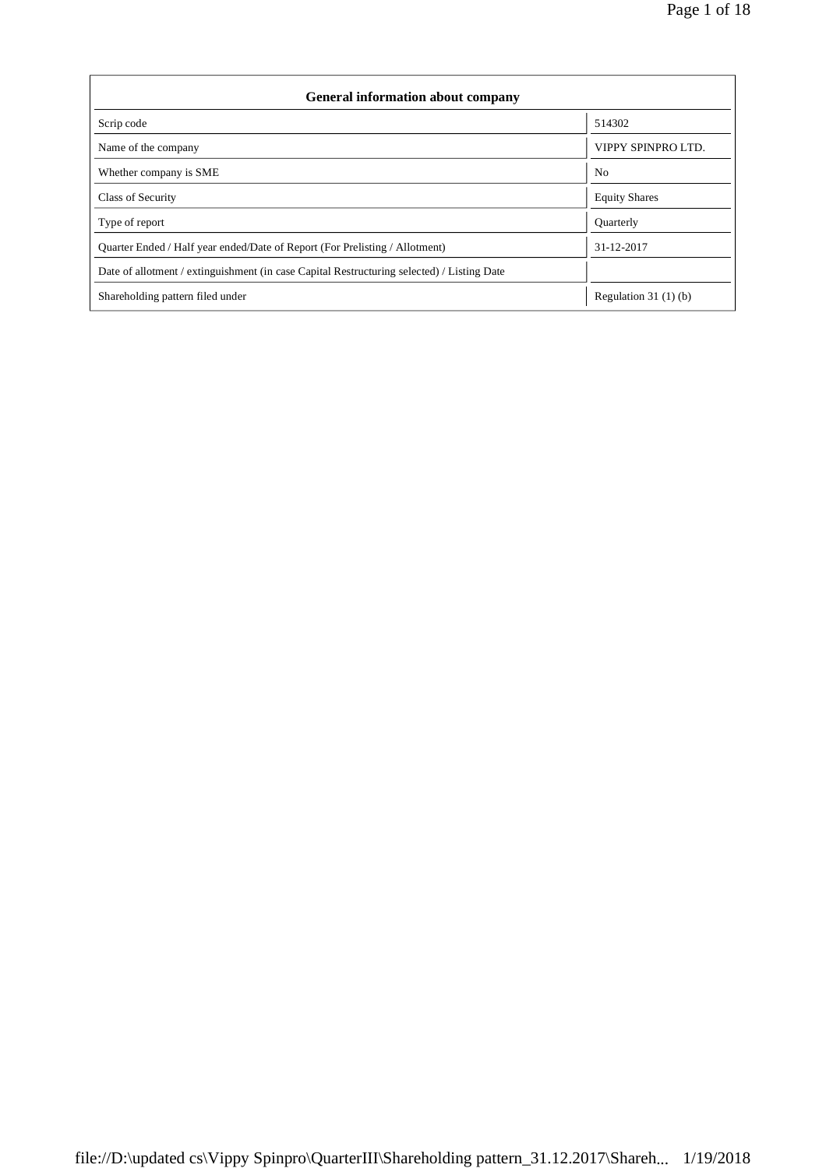| <b>General information about company</b>                                                   |                       |  |  |  |  |
|--------------------------------------------------------------------------------------------|-----------------------|--|--|--|--|
| Scrip code                                                                                 | 514302                |  |  |  |  |
| Name of the company                                                                        | VIPPY SPINPRO LTD.    |  |  |  |  |
| Whether company is SME                                                                     | N <sub>0</sub>        |  |  |  |  |
| Class of Security                                                                          | <b>Equity Shares</b>  |  |  |  |  |
| Type of report                                                                             | Quarterly             |  |  |  |  |
| Ouarter Ended / Half year ended/Date of Report (For Prelisting / Allotment)                | 31-12-2017            |  |  |  |  |
| Date of allotment / extinguishment (in case Capital Restructuring selected) / Listing Date |                       |  |  |  |  |
| Shareholding pattern filed under                                                           | Regulation 31 (1) (b) |  |  |  |  |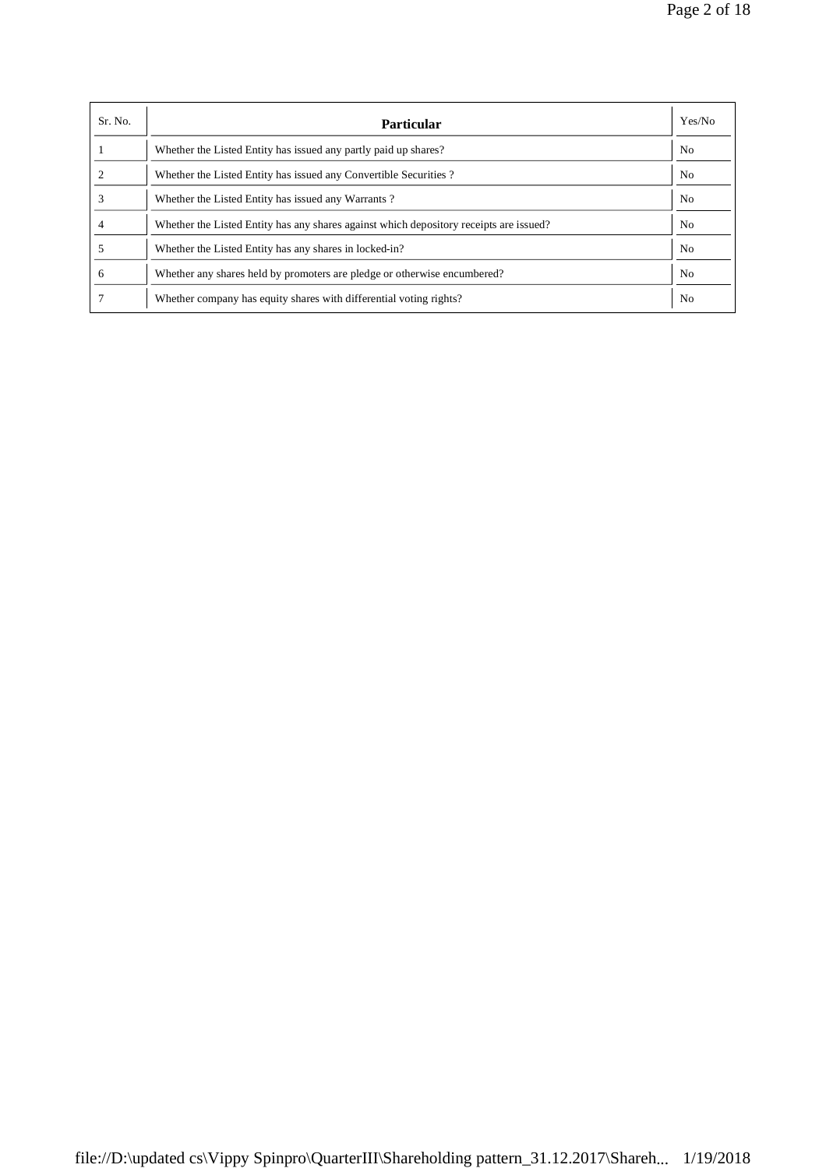| Sr. No.      | <b>Particular</b>                                                                      | Yes/No         |
|--------------|----------------------------------------------------------------------------------------|----------------|
|              | Whether the Listed Entity has issued any partly paid up shares?                        | No             |
|              | Whether the Listed Entity has issued any Convertible Securities?                       | No             |
|              | Whether the Listed Entity has issued any Warrants?                                     | No             |
|              | Whether the Listed Entity has any shares against which depository receipts are issued? | N <sub>0</sub> |
|              | Whether the Listed Entity has any shares in locked-in?                                 | No             |
| <sub>0</sub> | Whether any shares held by promoters are pledge or otherwise encumbered?               | N <sub>0</sub> |
|              | Whether company has equity shares with differential voting rights?                     | No             |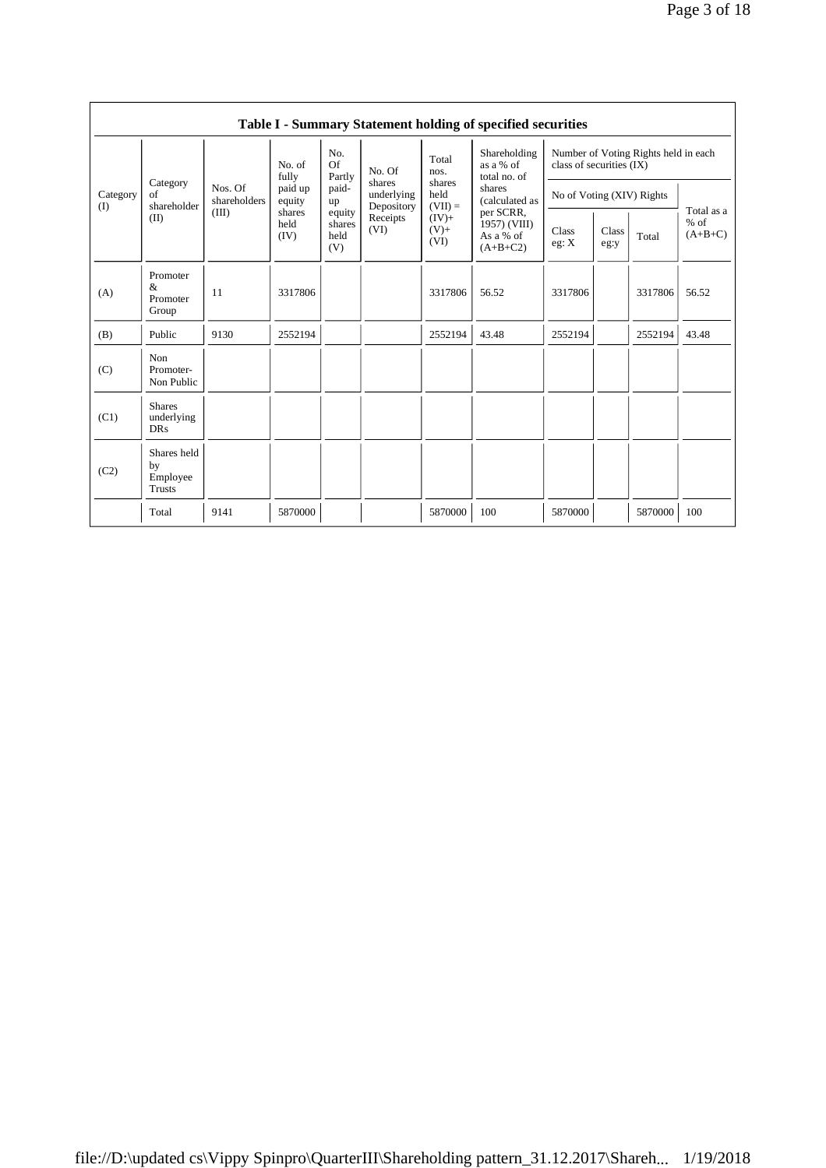|                 |                                                |                         |                        |                                 |                                    |                             | Table I - Summary Statement holding of specified securities |                           |               |                                      |                                   |
|-----------------|------------------------------------------------|-------------------------|------------------------|---------------------------------|------------------------------------|-----------------------------|-------------------------------------------------------------|---------------------------|---------------|--------------------------------------|-----------------------------------|
|                 |                                                |                         | No. of<br>fully        | No.<br><b>Of</b><br>Partly      | No. Of                             | Total<br>nos.               | Shareholding<br>as a % of<br>total no. of                   | class of securities (IX)  |               | Number of Voting Rights held in each |                                   |
| Category<br>(I) | Category<br>of<br>shareholder                  | Nos. Of<br>shareholders | paid up<br>equity      | paid-<br>up                     | shares<br>underlying<br>Depository | shares<br>held<br>$(VII) =$ | shares<br>(calculated as                                    | No of Voting (XIV) Rights |               |                                      | Total as a<br>$%$ of<br>$(A+B+C)$ |
|                 | (II)                                           | (III)                   | shares<br>held<br>(IV) | equity<br>shares<br>held<br>(V) | Receipts<br>(VI)                   | $(IV)$ +<br>$(V)$ +<br>(VI) | per SCRR,<br>1957) (VIII)<br>As a % of<br>$(A+B+C2)$        | Class<br>eg: X            | Class<br>eg:y | Total                                |                                   |
| (A)             | Promoter<br>&<br>Promoter<br>Group             | 11                      | 3317806                |                                 |                                    | 3317806                     | 56.52                                                       | 3317806                   |               | 3317806                              | 56.52                             |
| (B)             | Public                                         | 9130                    | 2552194                |                                 |                                    | 2552194                     | 43.48                                                       | 2552194                   |               | 2552194                              | 43.48                             |
| (C)             | Non<br>Promoter-<br>Non Public                 |                         |                        |                                 |                                    |                             |                                                             |                           |               |                                      |                                   |
| (C1)            | <b>Shares</b><br>underlying<br><b>DRs</b>      |                         |                        |                                 |                                    |                             |                                                             |                           |               |                                      |                                   |
| (C2)            | Shares held<br>by<br>Employee<br><b>Trusts</b> |                         |                        |                                 |                                    |                             |                                                             |                           |               |                                      |                                   |
|                 | Total                                          | 9141                    | 5870000                |                                 |                                    | 5870000                     | 100                                                         | 5870000                   |               | 5870000                              | 100                               |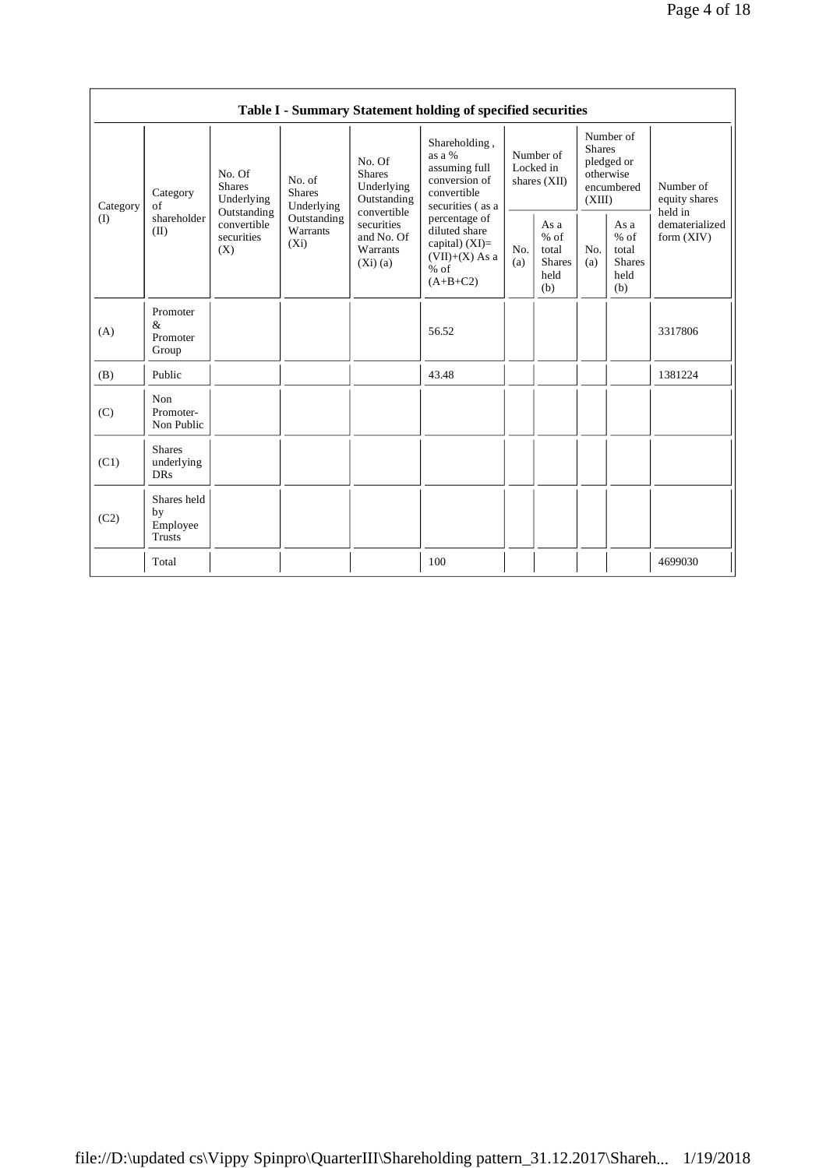|          |                                                |                                                 |                                       |                                                                     | Table I - Summary Statement holding of specified securities                                    |                                        |                                                         |                         |                                                         |                                       |
|----------|------------------------------------------------|-------------------------------------------------|---------------------------------------|---------------------------------------------------------------------|------------------------------------------------------------------------------------------------|----------------------------------------|---------------------------------------------------------|-------------------------|---------------------------------------------------------|---------------------------------------|
| Category | Category<br>of                                 | No. Of<br><b>Shares</b><br>Underlying           | No. of<br><b>Shares</b><br>Underlying | No. Of<br><b>Shares</b><br>Underlying<br>Outstanding<br>convertible | Shareholding,<br>as a %<br>assuming full<br>conversion of<br>convertible<br>securities (as a   | Number of<br>Locked in<br>shares (XII) |                                                         | <b>Shares</b><br>(XIII) | Number of<br>pledged or<br>otherwise<br>encumbered      | Number of<br>equity shares<br>held in |
| (I)      | shareholder<br>(II)                            | Outstanding<br>convertible<br>securities<br>(X) | Outstanding<br>Warrants<br>$(X_i)$    | securities<br>and No. Of<br>Warrants<br>(Xi)(a)                     | percentage of<br>diluted share<br>capital) $(XI)=$<br>$(VII)+(X)$ As a<br>$%$ of<br>$(A+B+C2)$ | No.<br>(a)                             | As a<br>$%$ of<br>total<br><b>Shares</b><br>held<br>(b) | No.<br>(a)              | As a<br>$%$ of<br>total<br><b>Shares</b><br>held<br>(b) | dematerialized<br>form $(XIV)$        |
| (A)      | Promoter<br>&<br>Promoter<br>Group             |                                                 |                                       |                                                                     | 56.52                                                                                          |                                        |                                                         |                         |                                                         | 3317806                               |
| (B)      | Public                                         |                                                 |                                       |                                                                     | 43.48                                                                                          |                                        |                                                         |                         |                                                         | 1381224                               |
| (C)      | Non<br>Promoter-<br>Non Public                 |                                                 |                                       |                                                                     |                                                                                                |                                        |                                                         |                         |                                                         |                                       |
| (C1)     | <b>Shares</b><br>underlying<br><b>DRs</b>      |                                                 |                                       |                                                                     |                                                                                                |                                        |                                                         |                         |                                                         |                                       |
| (C2)     | Shares held<br>by<br>Employee<br><b>Trusts</b> |                                                 |                                       |                                                                     |                                                                                                |                                        |                                                         |                         |                                                         |                                       |
|          | Total                                          |                                                 |                                       |                                                                     | 100                                                                                            |                                        |                                                         |                         |                                                         | 4699030                               |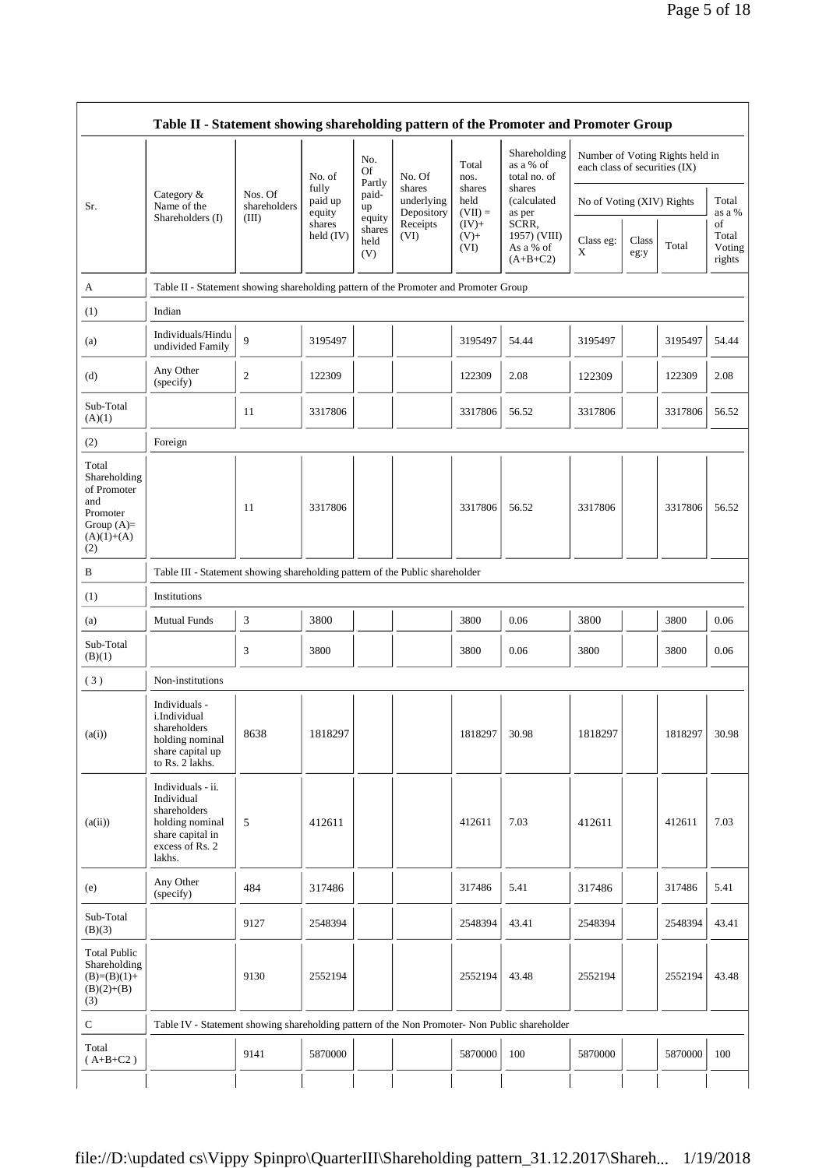|                                                                                                | Table II - Statement showing shareholding pattern of the Promoter and Promoter Group                                |                         |                            |                                 |                                    |                             |                                                  |                               |               |                                 |                                 |
|------------------------------------------------------------------------------------------------|---------------------------------------------------------------------------------------------------------------------|-------------------------|----------------------------|---------------------------------|------------------------------------|-----------------------------|--------------------------------------------------|-------------------------------|---------------|---------------------------------|---------------------------------|
|                                                                                                |                                                                                                                     |                         | No. of                     | No.<br><b>Of</b>                | No. Of                             | Total<br>nos.               | Shareholding<br>as a % of<br>total no. of        | each class of securities (IX) |               | Number of Voting Rights held in |                                 |
| Sr.                                                                                            | Category &<br>Name of the                                                                                           | Nos. Of<br>shareholders | fully<br>paid up<br>equity | Partly<br>paid-<br>up           | shares<br>underlying<br>Depository | shares<br>held<br>$(VII) =$ | shares<br>(calculated<br>as per                  | No of Voting (XIV) Rights     |               |                                 | Total<br>as a %                 |
|                                                                                                | Shareholders (I)                                                                                                    | (III)                   | shares<br>held $(IV)$      | equity<br>shares<br>held<br>(V) | Receipts<br>(VI)                   | $(IV)+$<br>$(V)$ +<br>(VI)  | SCRR,<br>1957) (VIII)<br>As a % of<br>$(A+B+C2)$ | Class eg:<br>X                | Class<br>eg:y | Total                           | of<br>Total<br>Voting<br>rights |
| A                                                                                              | Table II - Statement showing shareholding pattern of the Promoter and Promoter Group                                |                         |                            |                                 |                                    |                             |                                                  |                               |               |                                 |                                 |
| (1)                                                                                            | Indian                                                                                                              |                         |                            |                                 |                                    |                             |                                                  |                               |               |                                 |                                 |
| (a)                                                                                            | Individuals/Hindu<br>undivided Family                                                                               | 9                       | 3195497                    |                                 |                                    | 3195497                     | 54.44                                            | 3195497                       |               | 3195497                         | 54.44                           |
| (d)                                                                                            | Any Other<br>(specify)                                                                                              | $\boldsymbol{2}$        | 122309                     |                                 |                                    | 122309                      | 2.08                                             | 122309                        |               | 122309                          | 2.08                            |
| Sub-Total<br>(A)(1)                                                                            |                                                                                                                     | 11                      | 3317806                    |                                 |                                    | 3317806                     | 56.52                                            | 3317806                       |               | 3317806                         | 56.52                           |
| (2)                                                                                            | Foreign                                                                                                             |                         |                            |                                 |                                    |                             |                                                  |                               |               |                                 |                                 |
| Total<br>Shareholding<br>of Promoter<br>and<br>Promoter<br>Group $(A)=$<br>$(A)(1)+(A)$<br>(2) |                                                                                                                     | 11                      | 3317806                    |                                 |                                    | 3317806                     | 56.52                                            | 3317806                       |               | 3317806                         | 56.52                           |
| B                                                                                              | Table III - Statement showing shareholding pattern of the Public shareholder                                        |                         |                            |                                 |                                    |                             |                                                  |                               |               |                                 |                                 |
| (1)                                                                                            | Institutions                                                                                                        |                         |                            |                                 |                                    |                             |                                                  |                               |               |                                 |                                 |
| (a)                                                                                            | <b>Mutual Funds</b>                                                                                                 | 3                       | 3800                       |                                 |                                    | 3800                        | 0.06                                             | 3800                          |               | 3800                            | 0.06                            |
| Sub-Total<br>(B)(1)                                                                            |                                                                                                                     | 3                       | 3800                       |                                 |                                    | 3800                        | 0.06                                             | 3800                          |               | 3800                            | 0.06                            |
| (3)                                                                                            | Non-institutions                                                                                                    |                         |                            |                                 |                                    |                             |                                                  |                               |               |                                 |                                 |
| (a(i))                                                                                         | Individuals -<br>i.Individual<br>shareholders<br>holding nominal<br>share capital up<br>to Rs. 2 lakhs.             | 8638                    | 1818297                    |                                 |                                    | 1818297                     | 30.98                                            | 1818297                       |               | 1818297                         | 30.98                           |
| (a(ii))                                                                                        | Individuals - ii.<br>Individual<br>shareholders<br>holding nominal<br>share capital in<br>excess of Rs. 2<br>lakhs. | 5                       | 412611                     |                                 |                                    | 412611                      | 7.03                                             | 412611                        |               | 412611                          | 7.03                            |
| (e)                                                                                            | Any Other<br>(specify)                                                                                              | 484                     | 317486                     |                                 |                                    | 317486                      | 5.41                                             | 317486                        |               | 317486                          | 5.41                            |
| Sub-Total<br>(B)(3)                                                                            |                                                                                                                     | 9127                    | 2548394                    |                                 |                                    | 2548394                     | 43.41                                            | 2548394                       |               | 2548394                         | 43.41                           |
| <b>Total Public</b><br>Shareholding<br>$(B)=(B)(1)+$<br>$(B)(2)+(B)$<br>(3)                    |                                                                                                                     | 9130                    | 2552194                    |                                 |                                    | 2552194                     | 43.48                                            | 2552194                       |               | 2552194                         | 43.48                           |
| ${\bf C}$                                                                                      | Table IV - Statement showing shareholding pattern of the Non Promoter- Non Public shareholder                       |                         |                            |                                 |                                    |                             |                                                  |                               |               |                                 |                                 |
| Total<br>$(A+B+C2)$                                                                            |                                                                                                                     | 9141                    | 5870000                    |                                 |                                    | 5870000                     | 100                                              | 5870000                       |               | 5870000                         | 100                             |
|                                                                                                |                                                                                                                     |                         |                            |                                 |                                    |                             |                                                  |                               |               |                                 |                                 |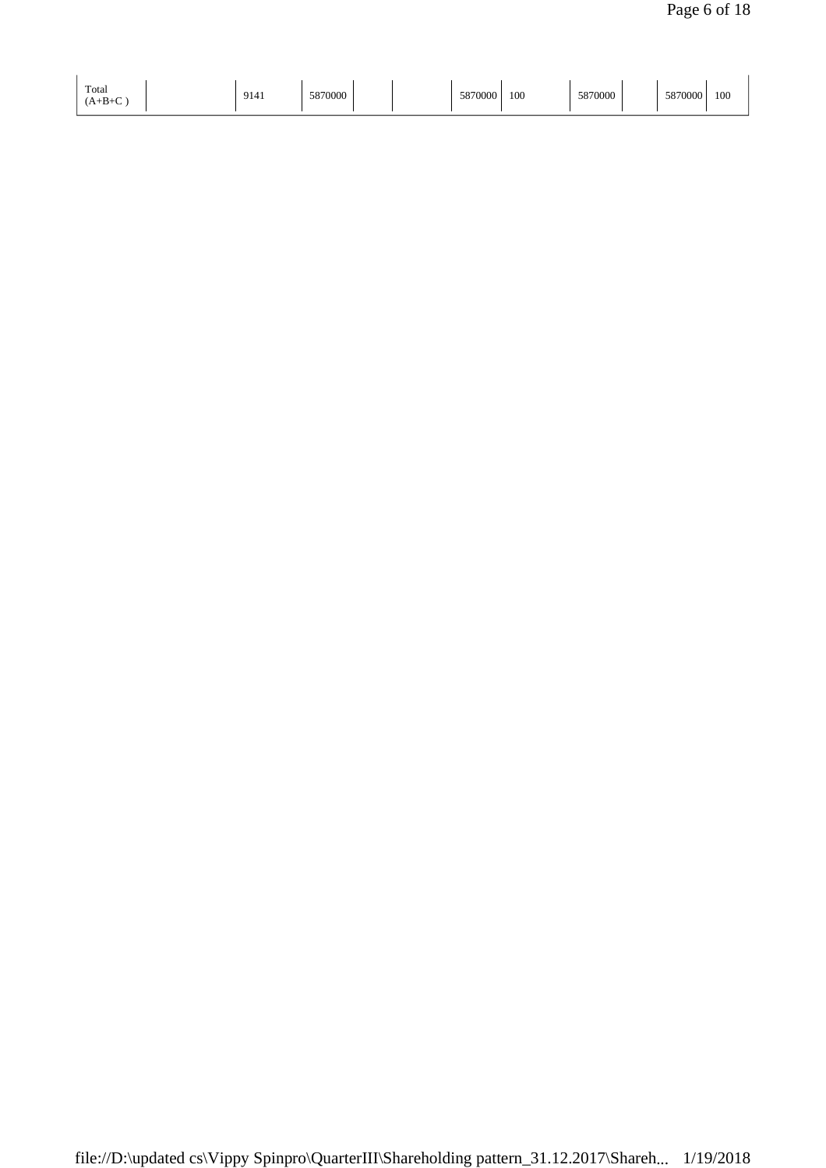| Total     |      |         | 5070000     |     |         |         |     |
|-----------|------|---------|-------------|-----|---------|---------|-----|
| $(A+B+C)$ | 9141 | 5870000 | /VVV<br>JO. | 100 | 5870000 | 5870000 | 100 |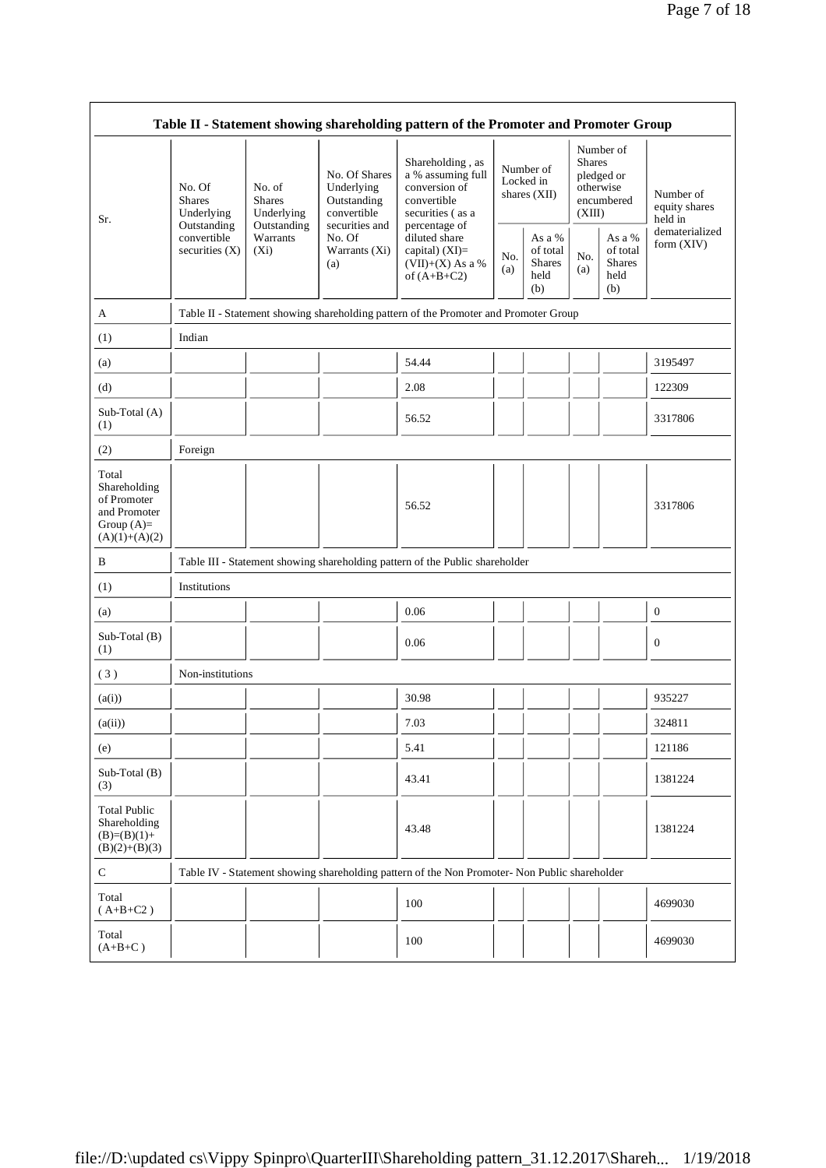|                                                                                         |                                                      |                                                      |                                                                                                               | Table II - Statement showing shareholding pattern of the Promoter and Promoter Group                       |            |                                                    |            |                                                                               |                                                         |
|-----------------------------------------------------------------------------------------|------------------------------------------------------|------------------------------------------------------|---------------------------------------------------------------------------------------------------------------|------------------------------------------------------------------------------------------------------------|------------|----------------------------------------------------|------------|-------------------------------------------------------------------------------|---------------------------------------------------------|
| Sr.                                                                                     | No. Of<br><b>Shares</b><br>Underlying<br>Outstanding | No. of<br><b>Shares</b><br>Underlying<br>Outstanding | No. Of Shares<br>Underlying<br>Outstanding<br>convertible<br>securities and<br>No. Of<br>Warrants (Xi)<br>(a) | Shareholding, as<br>a % assuming full<br>conversion of<br>convertible<br>securities (as a<br>percentage of |            | Number of<br>Locked in<br>shares $(XII)$           |            | Number of<br><b>Shares</b><br>pledged or<br>otherwise<br>encumbered<br>(XIII) | Number of<br>equity shares<br>held in<br>dematerialized |
|                                                                                         | convertible<br>securities $(X)$                      | Warrants<br>$(X_i)$                                  |                                                                                                               | diluted share<br>capital) (XI)=<br>$(VII)+(X)$ As a %<br>of $(A+B+C2)$                                     | No.<br>(a) | As a %<br>of total<br><b>Shares</b><br>held<br>(b) | No.<br>(a) | As a $\%$<br>of total<br><b>Shares</b><br>held<br>(b)                         | form $(XIV)$                                            |
| A                                                                                       |                                                      |                                                      |                                                                                                               | Table II - Statement showing shareholding pattern of the Promoter and Promoter Group                       |            |                                                    |            |                                                                               |                                                         |
| (1)                                                                                     | Indian                                               |                                                      |                                                                                                               |                                                                                                            |            |                                                    |            |                                                                               |                                                         |
| (a)                                                                                     |                                                      |                                                      |                                                                                                               | 54.44                                                                                                      |            |                                                    |            |                                                                               | 3195497                                                 |
| (d)                                                                                     |                                                      |                                                      |                                                                                                               | 2.08                                                                                                       |            |                                                    |            |                                                                               | 122309                                                  |
| Sub-Total (A)<br>(1)                                                                    |                                                      |                                                      |                                                                                                               | 56.52                                                                                                      |            |                                                    |            |                                                                               | 3317806                                                 |
| (2)                                                                                     | Foreign                                              |                                                      |                                                                                                               |                                                                                                            |            |                                                    |            |                                                                               |                                                         |
| Total<br>Shareholding<br>of Promoter<br>and Promoter<br>Group $(A)=$<br>$(A)(1)+(A)(2)$ |                                                      |                                                      |                                                                                                               | 56.52                                                                                                      |            |                                                    |            |                                                                               | 3317806                                                 |
| B                                                                                       |                                                      |                                                      |                                                                                                               | Table III - Statement showing shareholding pattern of the Public shareholder                               |            |                                                    |            |                                                                               |                                                         |
| (1)                                                                                     | Institutions                                         |                                                      |                                                                                                               |                                                                                                            |            |                                                    |            |                                                                               |                                                         |
| (a)                                                                                     |                                                      |                                                      |                                                                                                               | 0.06                                                                                                       |            |                                                    |            |                                                                               | $\boldsymbol{0}$                                        |
| Sub-Total (B)<br>(1)                                                                    |                                                      |                                                      |                                                                                                               | 0.06                                                                                                       |            |                                                    |            |                                                                               | $\boldsymbol{0}$                                        |
| (3)                                                                                     | Non-institutions                                     |                                                      |                                                                                                               |                                                                                                            |            |                                                    |            |                                                                               |                                                         |
| (a(i))                                                                                  |                                                      |                                                      |                                                                                                               | 30.98                                                                                                      |            |                                                    |            |                                                                               | 935227                                                  |
| (a(ii))                                                                                 |                                                      |                                                      |                                                                                                               | 7.03                                                                                                       |            |                                                    |            |                                                                               | 324811                                                  |
| (e)                                                                                     |                                                      |                                                      |                                                                                                               | 5.41                                                                                                       |            |                                                    |            |                                                                               | 121186                                                  |
| Sub-Total (B)<br>(3)                                                                    |                                                      |                                                      |                                                                                                               | 43.41                                                                                                      |            |                                                    |            |                                                                               | 1381224                                                 |
| <b>Total Public</b><br>Shareholding<br>$(B)=(B)(1)+$<br>$(B)(2)+(B)(3)$                 |                                                      |                                                      |                                                                                                               | 43.48                                                                                                      |            |                                                    |            |                                                                               | 1381224                                                 |
| C                                                                                       |                                                      |                                                      |                                                                                                               | Table IV - Statement showing shareholding pattern of the Non Promoter- Non Public shareholder              |            |                                                    |            |                                                                               |                                                         |
| Total<br>$(A+B+C2)$                                                                     |                                                      |                                                      |                                                                                                               | 100                                                                                                        |            |                                                    |            |                                                                               | 4699030                                                 |
| Total<br>$(A+B+C)$                                                                      |                                                      |                                                      |                                                                                                               | 100                                                                                                        |            |                                                    |            |                                                                               | 4699030                                                 |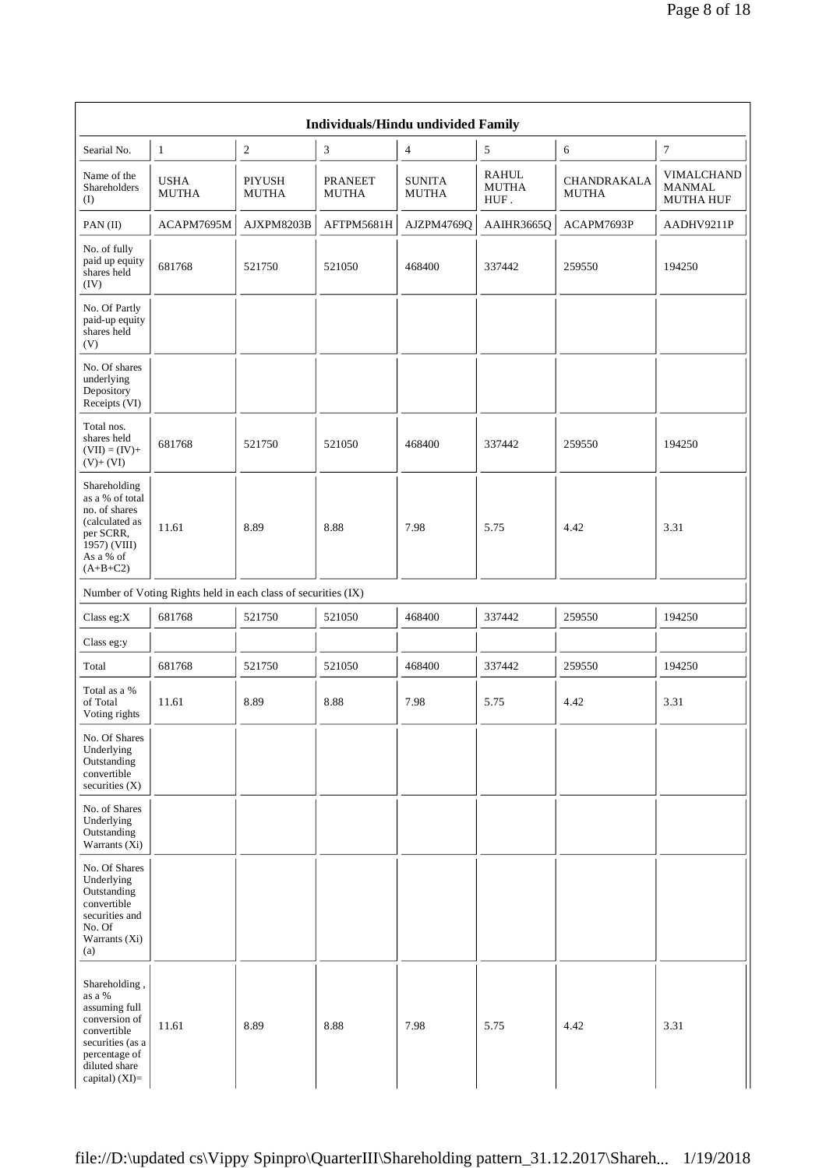|                                                                                                                                                    |                                                               |                               | Individuals/Hindu undivided Family |                               |                        |                                    |                                                 |
|----------------------------------------------------------------------------------------------------------------------------------------------------|---------------------------------------------------------------|-------------------------------|------------------------------------|-------------------------------|------------------------|------------------------------------|-------------------------------------------------|
| Searial No.                                                                                                                                        | 1                                                             | $\mathfrak{2}$                | 3                                  | 4                             | 5                      | 6                                  | $\tau$                                          |
| Name of the<br>Shareholders<br>(I)                                                                                                                 | <b>USHA</b><br><b>MUTHA</b>                                   | <b>PIYUSH</b><br><b>MUTHA</b> | <b>PRANEET</b><br><b>MUTHA</b>     | <b>SUNITA</b><br><b>MUTHA</b> | RAHUL<br>MUTHA<br>HUF. | <b>CHANDRAKALA</b><br><b>MUTHA</b> | VIMALCHAND<br><b>MANMAL</b><br><b>MUTHA HUF</b> |
| PAN (II)                                                                                                                                           | ACAPM7695M                                                    | AJXPM8203B                    | AFTPM5681H                         | AJZPM4769Q                    | AAIHR3665Q             | ACAPM7693P                         | AADHV9211P                                      |
| No. of fully<br>paid up equity<br>shares held<br>(IV)                                                                                              | 681768                                                        | 521750                        | 521050                             | 468400                        | 337442                 | 259550                             | 194250                                          |
| No. Of Partly<br>paid-up equity<br>shares held<br>(V)                                                                                              |                                                               |                               |                                    |                               |                        |                                    |                                                 |
| No. Of shares<br>underlying<br>Depository<br>Receipts (VI)                                                                                         |                                                               |                               |                                    |                               |                        |                                    |                                                 |
| Total nos.<br>shares held<br>$(VII) = (IV) +$<br>$(V)$ + $(VI)$                                                                                    | 681768                                                        | 521750                        | 521050                             | 468400                        | 337442                 | 259550                             | 194250                                          |
| Shareholding<br>as a % of total<br>no. of shares<br>(calculated as<br>per SCRR,<br>1957) (VIII)<br>As a % of<br>$(A+B+C2)$                         | 11.61                                                         | 8.89                          | 8.88                               | 7.98                          | 5.75                   | 4.42                               | 3.31                                            |
|                                                                                                                                                    | Number of Voting Rights held in each class of securities (IX) |                               |                                    |                               |                        |                                    |                                                 |
| Class eg: $X$                                                                                                                                      | 681768                                                        | 521750                        | 521050                             | 468400                        | 337442                 | 259550                             | 194250                                          |
| Class eg:y                                                                                                                                         |                                                               |                               |                                    |                               |                        |                                    |                                                 |
| Total                                                                                                                                              | 681768                                                        | 521750                        | 521050                             | 468400                        | 337442                 | 259550                             | 194250                                          |
| Total as a %<br>of Total<br>Voting rights                                                                                                          | 11.61                                                         | 8.89                          | 8.88                               | 7.98                          | 5.75                   | 4.42                               | 3.31                                            |
| No. Of Shares<br>Underlying<br>Outstanding<br>convertible<br>securities (X)                                                                        |                                                               |                               |                                    |                               |                        |                                    |                                                 |
| No. of Shares<br>Underlying<br>Outstanding<br>Warrants $(X_i)$                                                                                     |                                                               |                               |                                    |                               |                        |                                    |                                                 |
| No. Of Shares<br>Underlying<br>Outstanding<br>convertible<br>securities and<br>No. Of<br>Warrants (Xi)<br>(a)                                      |                                                               |                               |                                    |                               |                        |                                    |                                                 |
| Shareholding,<br>as a %<br>assuming full<br>conversion of<br>convertible<br>securities (as a<br>percentage of<br>diluted share<br>capital) $(XI)=$ | 11.61                                                         | 8.89                          | 8.88                               | 7.98                          | 5.75                   | 4.42                               | 3.31                                            |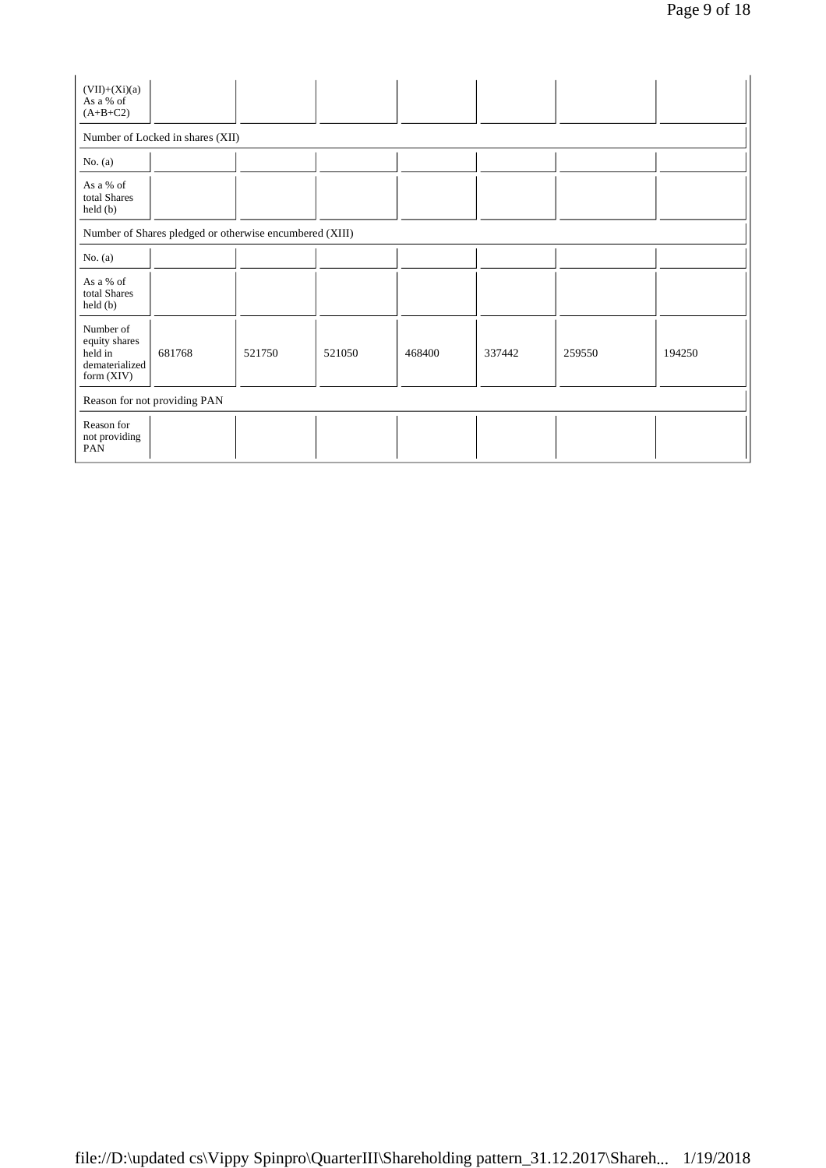| $(VII)+(Xi)(a)$<br>As a % of<br>$(A+B+C2)$                              |                                                         |        |        |        |        |        |        |
|-------------------------------------------------------------------------|---------------------------------------------------------|--------|--------|--------|--------|--------|--------|
|                                                                         | Number of Locked in shares (XII)                        |        |        |        |        |        |        |
| No. $(a)$                                                               |                                                         |        |        |        |        |        |        |
| As a % of<br>total Shares<br>held(b)                                    |                                                         |        |        |        |        |        |        |
|                                                                         | Number of Shares pledged or otherwise encumbered (XIII) |        |        |        |        |        |        |
| No. $(a)$                                                               |                                                         |        |        |        |        |        |        |
| As a % of<br>total Shares<br>held(b)                                    |                                                         |        |        |        |        |        |        |
| Number of<br>equity shares<br>held in<br>dematerialized<br>form $(XIV)$ | 681768                                                  | 521750 | 521050 | 468400 | 337442 | 259550 | 194250 |
|                                                                         | Reason for not providing PAN                            |        |        |        |        |        |        |
| Reason for<br>not providing<br>PAN                                      |                                                         |        |        |        |        |        |        |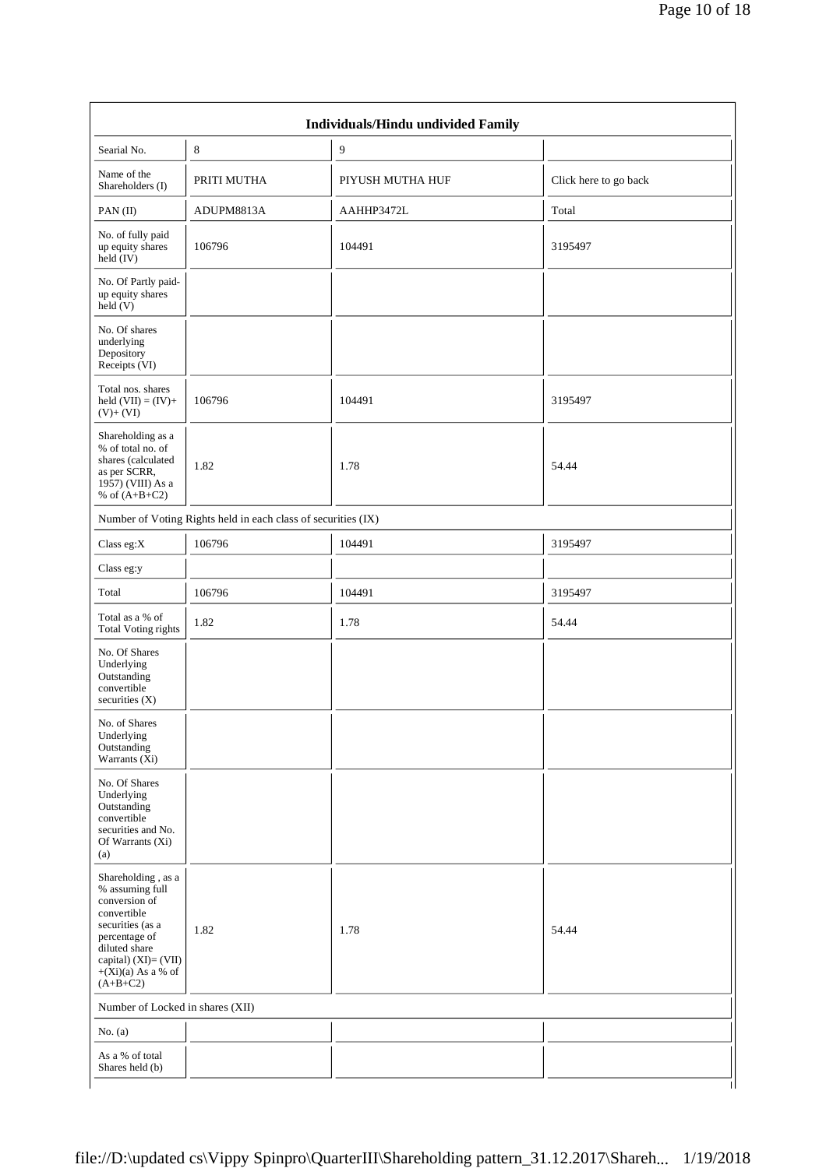| Searial No.                                                                                                                                                                                  | 8                                                             | $\overline{9}$   |                       |
|----------------------------------------------------------------------------------------------------------------------------------------------------------------------------------------------|---------------------------------------------------------------|------------------|-----------------------|
| Name of the                                                                                                                                                                                  |                                                               | PIYUSH MUTHA HUF |                       |
| Shareholders (I)                                                                                                                                                                             | PRITI MUTHA                                                   |                  | Click here to go back |
| PAN(II)                                                                                                                                                                                      | ADUPM8813A                                                    | AAHHP3472L       | Total                 |
| No. of fully paid<br>up equity shares<br>$\text{held} (IV)$                                                                                                                                  | 106796                                                        | 104491           | 3195497               |
| No. Of Partly paid-<br>up equity shares<br>held $(V)$                                                                                                                                        |                                                               |                  |                       |
| No. Of shares<br>underlying<br>Depository<br>Receipts (VI)                                                                                                                                   |                                                               |                  |                       |
| Total nos. shares<br>held $(VII) = (IV) +$<br>$(V)+(VI)$                                                                                                                                     | 106796                                                        | 104491           | 3195497               |
| Shareholding as a<br>% of total no. of<br>shares (calculated<br>as per SCRR,<br>1957) (VIII) As a<br>% of $(A+B+C2)$                                                                         | 1.82                                                          | 1.78             | 54.44                 |
|                                                                                                                                                                                              | Number of Voting Rights held in each class of securities (IX) |                  |                       |
| Class eg: $X$                                                                                                                                                                                | 106796                                                        | 104491           | 3195497               |
| Class eg:y                                                                                                                                                                                   |                                                               |                  |                       |
| Total                                                                                                                                                                                        | 106796                                                        | 104491           | 3195497               |
| Total as a % of<br><b>Total Voting rights</b>                                                                                                                                                | 1.82                                                          | 1.78             | 54.44                 |
| No. Of Shares<br>Underlying<br>Outstanding<br>convertible<br>securities (X)                                                                                                                  |                                                               |                  |                       |
| No. of Shares<br>Underlying<br>Outstanding<br>Warrants (Xi)                                                                                                                                  |                                                               |                  |                       |
| No. Of Shares<br>Underlying<br>Outstanding<br>convertible<br>securities and No.<br>Of Warrants (Xi)<br>(a)                                                                                   |                                                               |                  |                       |
| Shareholding, as a<br>% assuming full<br>conversion of<br>convertible<br>securities (as a<br>percentage of<br>diluted share<br>capital) $(XI) = (VII)$<br>$+(Xi)(a)$ As a % of<br>$(A+B+C2)$ | 1.82                                                          | 1.78             | 54.44                 |
| Number of Locked in shares (XII)                                                                                                                                                             |                                                               |                  |                       |
| No. $(a)$                                                                                                                                                                                    |                                                               |                  |                       |
| As a % of total                                                                                                                                                                              |                                                               |                  |                       |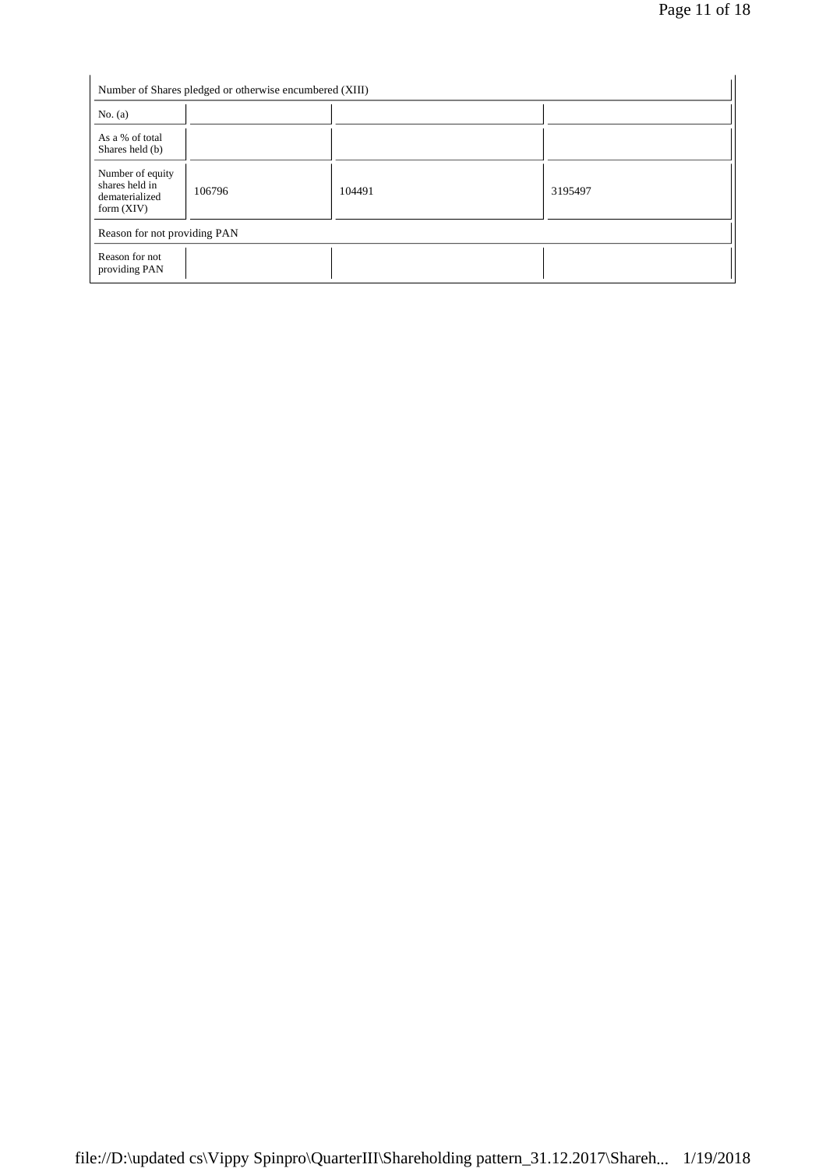|                                                                      | Number of Shares pledged or otherwise encumbered (XIII) |        |         |
|----------------------------------------------------------------------|---------------------------------------------------------|--------|---------|
| No. $(a)$                                                            |                                                         |        |         |
| As a % of total<br>Shares held (b)                                   |                                                         |        |         |
| Number of equity<br>shares held in<br>dematerialized<br>form $(XIV)$ | 106796                                                  | 104491 | 3195497 |
| Reason for not providing PAN                                         |                                                         |        |         |
| Reason for not<br>providing PAN                                      |                                                         |        |         |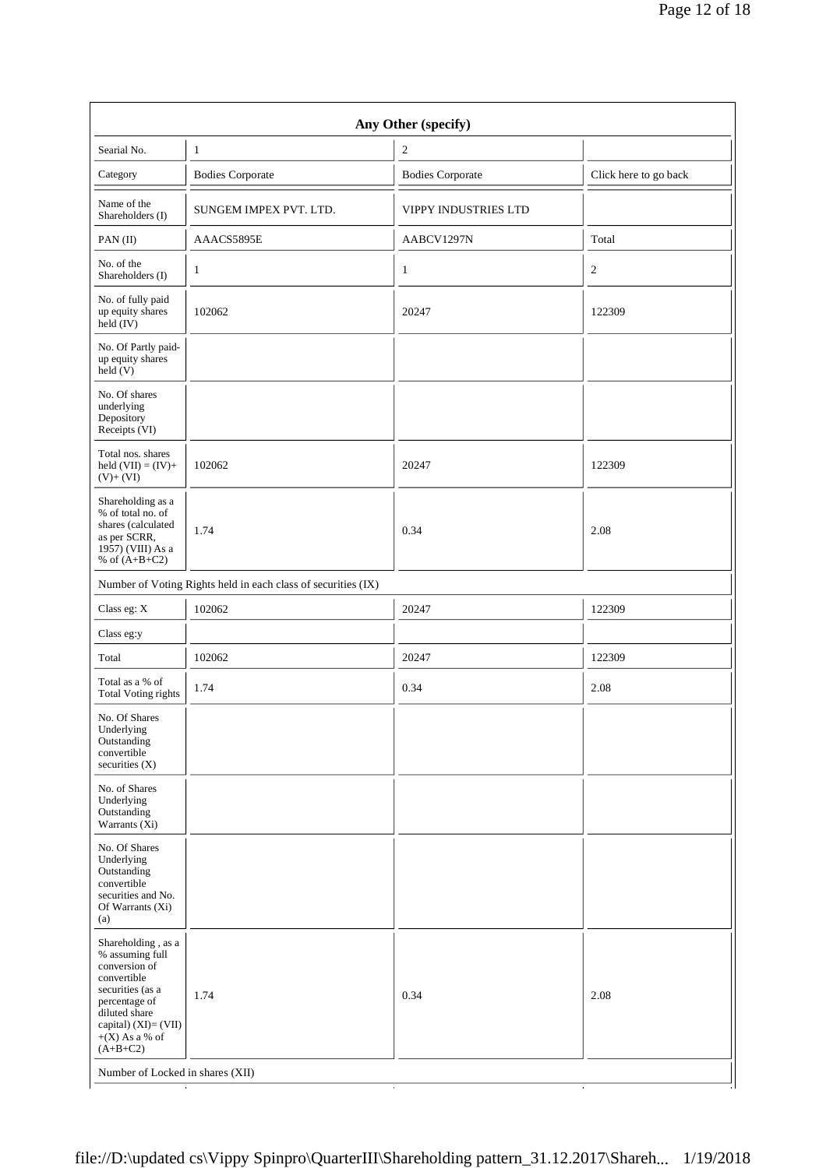| Searial No.                                                                                                                                                                           | 1                                                             | 2                           |                       |
|---------------------------------------------------------------------------------------------------------------------------------------------------------------------------------------|---------------------------------------------------------------|-----------------------------|-----------------------|
| Category                                                                                                                                                                              | <b>Bodies Corporate</b>                                       | <b>Bodies Corporate</b>     | Click here to go back |
| Name of the<br>Shareholders (I)                                                                                                                                                       | SUNGEM IMPEX PVT. LTD.                                        | <b>VIPPY INDUSTRIES LTD</b> |                       |
| PAN(II)                                                                                                                                                                               | AAACS5895E                                                    | AABCV1297N                  | Total                 |
| No. of the<br>Shareholders (I)                                                                                                                                                        | $\mathbf{1}$                                                  | $\mathbf{1}$                | $\overline{c}$        |
| No. of fully paid<br>up equity shares<br>$held$ (IV)                                                                                                                                  | 102062                                                        | 20247                       | 122309                |
| No. Of Partly paid-<br>up equity shares<br>held(V)                                                                                                                                    |                                                               |                             |                       |
| No. Of shares<br>underlying<br>Depository<br>Receipts (VI)                                                                                                                            |                                                               |                             |                       |
| Total nos. shares<br>held $(VII) = (IV) +$<br>$(V)+(VI)$                                                                                                                              | 102062                                                        | 20247                       | 122309                |
| Shareholding as a<br>% of total no. of<br>shares (calculated<br>as per SCRR,<br>1957) (VIII) As a<br>% of $(A+B+C2)$                                                                  | 1.74                                                          | 0.34                        | 2.08                  |
|                                                                                                                                                                                       | Number of Voting Rights held in each class of securities (IX) |                             |                       |
| Class eg: X                                                                                                                                                                           | 102062                                                        | 20247                       | 122309                |
| Class eg:y                                                                                                                                                                            |                                                               |                             |                       |
| Total                                                                                                                                                                                 | 102062                                                        | 20247                       | 122309                |
| Total as a % of<br><b>Total Voting rights</b>                                                                                                                                         | 1.74                                                          | 0.34                        | 2.08                  |
| No. Of Shares<br>Underlying<br>Outstanding<br>convertible<br>securities $(X)$                                                                                                         |                                                               |                             |                       |
| No. of Shares<br>Underlying<br>Outstanding<br>Warrants $(X_i)$                                                                                                                        |                                                               |                             |                       |
| No. Of Shares<br>Underlying<br>Outstanding<br>convertible<br>securities and No.<br>Of Warrants (Xi)<br>(a)                                                                            |                                                               |                             |                       |
| Shareholding, as a<br>% assuming full<br>conversion of<br>convertible<br>securities (as a<br>percentage of<br>diluted share<br>capital) (XI)= (VII)<br>$+(X)$ As a % of<br>$(A+B+C2)$ | 1.74                                                          | 0.34                        | 2.08                  |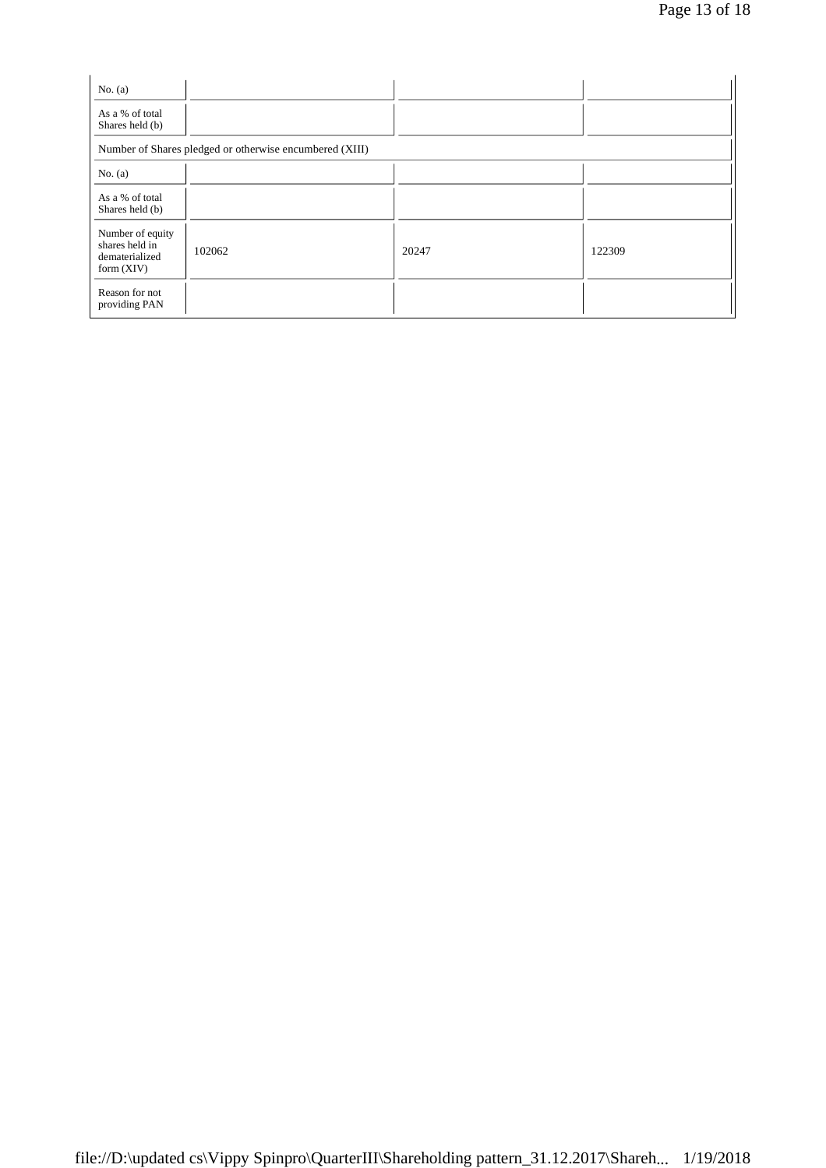| No. $(a)$                                                            |                                                         |       |        |
|----------------------------------------------------------------------|---------------------------------------------------------|-------|--------|
| As a % of total<br>Shares held (b)                                   |                                                         |       |        |
|                                                                      | Number of Shares pledged or otherwise encumbered (XIII) |       |        |
| No. $(a)$                                                            |                                                         |       |        |
| As a % of total<br>Shares held (b)                                   |                                                         |       |        |
| Number of equity<br>shares held in<br>dematerialized<br>form $(XIV)$ | 102062                                                  | 20247 | 122309 |
| Reason for not<br>providing PAN                                      |                                                         |       |        |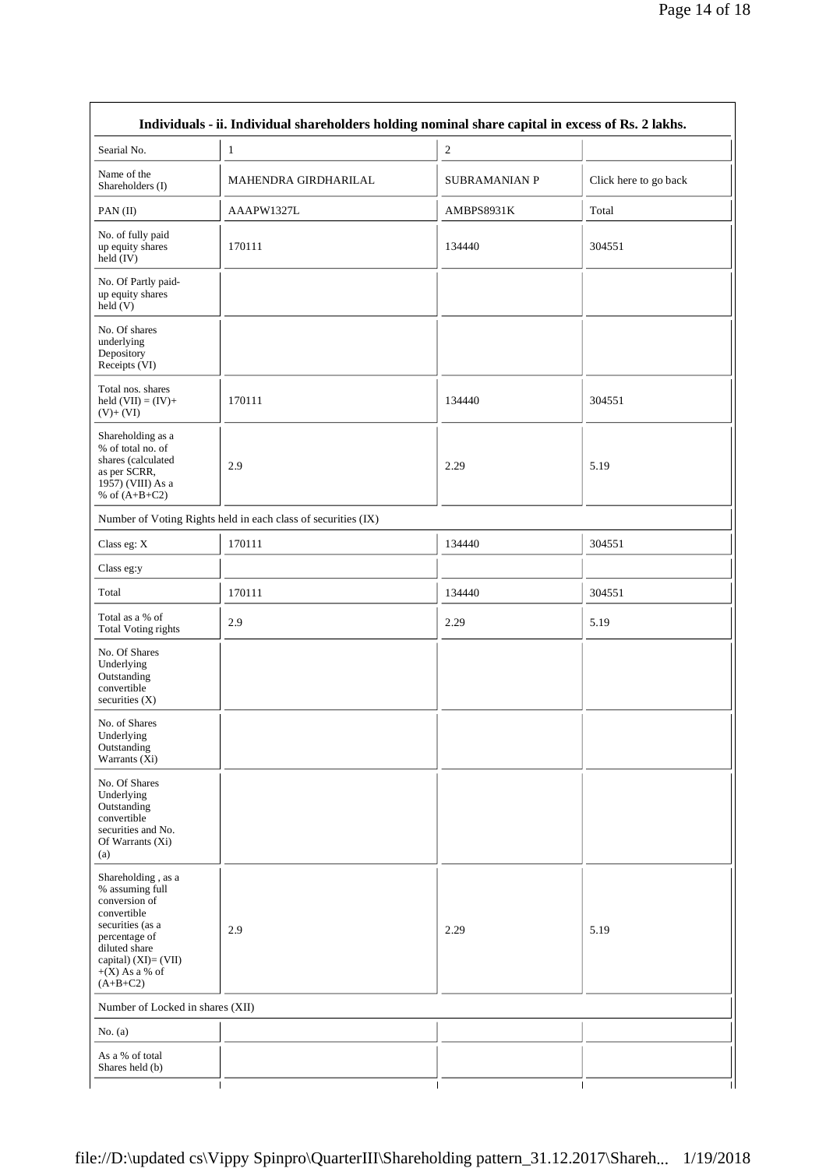| Individuals - ii. Individual shareholders holding nominal share capital in excess of Rs. 2 lakhs.                                                                                        |                      |                      |                       |  |  |  |
|------------------------------------------------------------------------------------------------------------------------------------------------------------------------------------------|----------------------|----------------------|-----------------------|--|--|--|
| Searial No.                                                                                                                                                                              | 1                    | $\mathfrak{2}$       |                       |  |  |  |
| Name of the<br>Shareholders (I)                                                                                                                                                          | MAHENDRA GIRDHARILAL | <b>SUBRAMANIAN P</b> | Click here to go back |  |  |  |
| PAN(II)                                                                                                                                                                                  | AAAPW1327L           | AMBPS8931K           | Total                 |  |  |  |
| No. of fully paid<br>up equity shares<br>held (IV)                                                                                                                                       | 170111               | 134440               | 304551                |  |  |  |
| No. Of Partly paid-<br>up equity shares<br>held(V)                                                                                                                                       |                      |                      |                       |  |  |  |
| No. Of shares<br>underlying<br>Depository<br>Receipts (VI)                                                                                                                               |                      |                      |                       |  |  |  |
| Total nos. shares<br>held $(VII) = (IV) +$<br>$(V)+(VI)$                                                                                                                                 | 170111               | 134440               | 304551                |  |  |  |
| Shareholding as a<br>% of total no. of<br>shares (calculated<br>as per SCRR,<br>1957) (VIII) As a<br>% of $(A+B+C2)$                                                                     | 2.9                  | 2.29                 | 5.19                  |  |  |  |
| Number of Voting Rights held in each class of securities (IX)                                                                                                                            |                      |                      |                       |  |  |  |
| Class eg: X                                                                                                                                                                              | 170111               | 134440               | 304551                |  |  |  |
| Class eg:y                                                                                                                                                                               |                      |                      |                       |  |  |  |
| Total                                                                                                                                                                                    | 170111               | 134440               | 304551                |  |  |  |
| Total as a % of<br><b>Total Voting rights</b>                                                                                                                                            | 2.9                  | 2.29                 | 5.19                  |  |  |  |
| No. Of Shares<br>Underlying<br>Outstanding<br>convertible<br>securities $(X)$                                                                                                            |                      |                      |                       |  |  |  |
| No. of Shares<br>Underlying<br>Outstanding<br>Warrants (Xi)                                                                                                                              |                      |                      |                       |  |  |  |
| No. Of Shares<br>Underlying<br>Outstanding<br>convertible<br>securities and No.<br>Of Warrants (Xi)<br>(a)                                                                               |                      |                      |                       |  |  |  |
| Shareholding, as a<br>% assuming full<br>conversion of<br>convertible<br>securities (as a<br>percentage of<br>diluted share<br>capital) $(XI) = (VII)$<br>$+(X)$ As a % of<br>$(A+B+C2)$ | 2.9                  | 2.29                 | 5.19                  |  |  |  |
| Number of Locked in shares (XII)                                                                                                                                                         |                      |                      |                       |  |  |  |
| No. $(a)$                                                                                                                                                                                |                      |                      |                       |  |  |  |
| As a % of total<br>Shares held (b)                                                                                                                                                       |                      |                      |                       |  |  |  |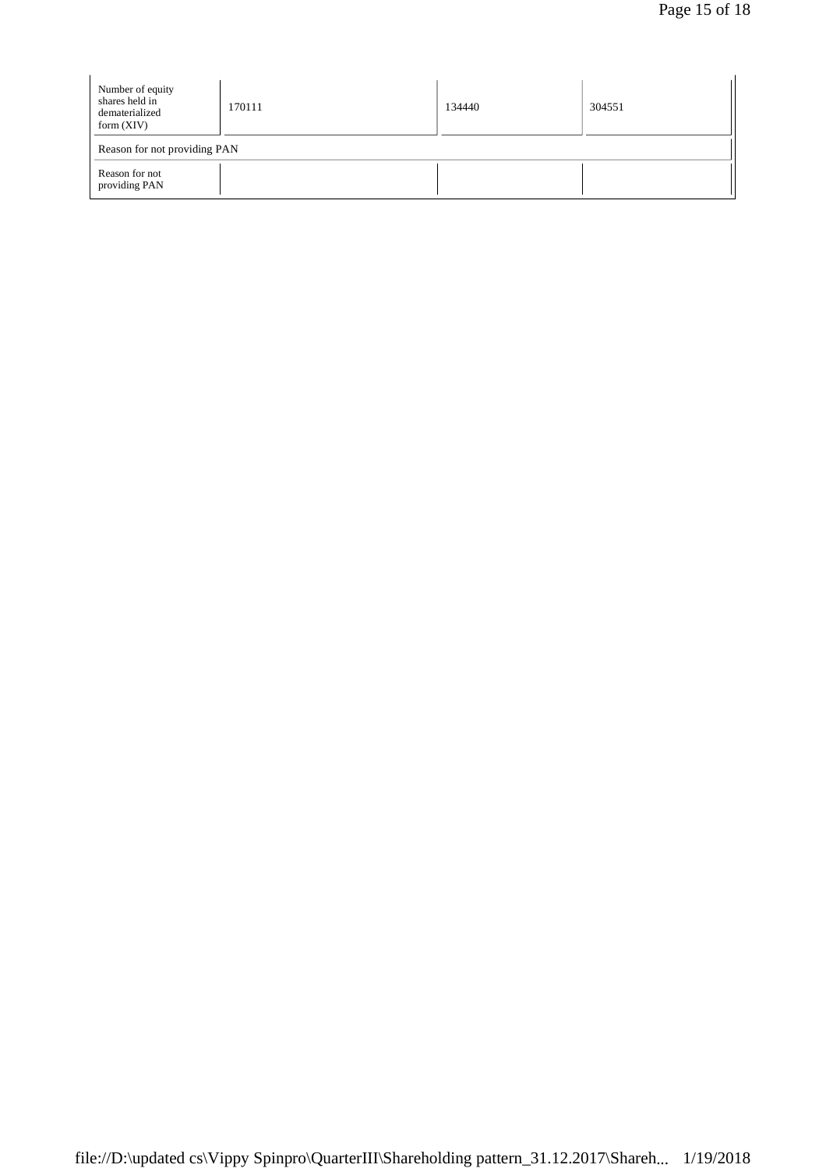| Number of equity<br>shares held in<br>dematerialized<br>form $(XIV)$ | 170111 | 134440 | 304551 |  |  |
|----------------------------------------------------------------------|--------|--------|--------|--|--|
| Reason for not providing PAN                                         |        |        |        |  |  |
| Reason for not<br>providing PAN                                      |        |        |        |  |  |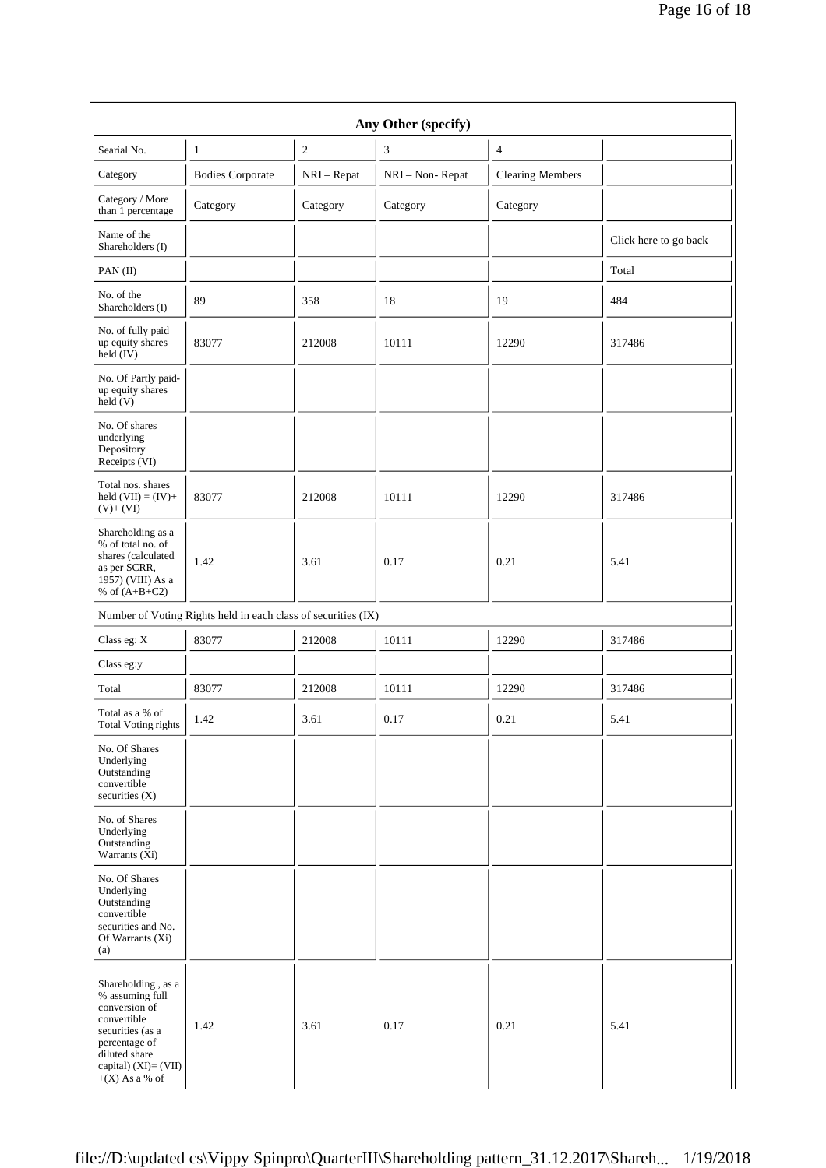| Any Other (specify)                                                                                                                                                     |                                                               |                |                 |                         |                       |
|-------------------------------------------------------------------------------------------------------------------------------------------------------------------------|---------------------------------------------------------------|----------------|-----------------|-------------------------|-----------------------|
| Searial No.                                                                                                                                                             | $\mathbf{1}$                                                  | $\mathfrak{2}$ | $\sqrt{3}$      | $\overline{4}$          |                       |
| Category                                                                                                                                                                | <b>Bodies Corporate</b>                                       | $NRI - Repat$  | NRI - Non-Repat | <b>Clearing Members</b> |                       |
| Category / More<br>than 1 percentage                                                                                                                                    | Category                                                      | Category       | Category        | Category                |                       |
| Name of the<br>Shareholders (I)                                                                                                                                         |                                                               |                |                 |                         | Click here to go back |
| PAN (II)                                                                                                                                                                |                                                               |                |                 |                         | Total                 |
| No. of the<br>Shareholders (I)                                                                                                                                          | 89                                                            | 358            | 18              | 19                      | 484                   |
| No. of fully paid<br>up equity shares<br>$held$ (IV)                                                                                                                    | 83077                                                         | 212008         | 10111           | 12290                   | 317486                |
| No. Of Partly paid-<br>up equity shares<br>held(V)                                                                                                                      |                                                               |                |                 |                         |                       |
| No. Of shares<br>underlying<br>Depository<br>Receipts (VI)                                                                                                              |                                                               |                |                 |                         |                       |
| Total nos. shares<br>held $(VII) = (IV) +$<br>$(V)+(VI)$                                                                                                                | 83077                                                         | 212008         | 10111           | 12290                   | 317486                |
| Shareholding as a<br>% of total no. of<br>shares (calculated<br>as per SCRR,<br>1957) (VIII) As a<br>% of $(A+B+C2)$                                                    | 1.42                                                          | 3.61           | 0.17            | 0.21                    | 5.41                  |
|                                                                                                                                                                         | Number of Voting Rights held in each class of securities (IX) |                |                 |                         |                       |
| Class eg: X                                                                                                                                                             | 83077                                                         | 212008         | 10111           | 12290                   | 317486                |
| Class eg:y                                                                                                                                                              |                                                               |                |                 |                         |                       |
| Total                                                                                                                                                                   | 83077                                                         | 212008         | 10111           | 12290                   | 317486                |
| Total as a % of<br>Total Voting rights                                                                                                                                  | 1.42                                                          | 3.61           | 0.17            | 0.21                    | 5.41                  |
| No. Of Shares<br>Underlying<br>Outstanding<br>convertible<br>securities $(X)$                                                                                           |                                                               |                |                 |                         |                       |
| No. of Shares<br>Underlying<br>Outstanding<br>Warrants $(X_i)$                                                                                                          |                                                               |                |                 |                         |                       |
| No. Of Shares<br>Underlying<br>Outstanding<br>convertible<br>securities and No.<br>Of Warrants (Xi)<br>(a)                                                              |                                                               |                |                 |                         |                       |
| Shareholding, as a<br>% assuming full<br>conversion of<br>convertible<br>securities (as a<br>percentage of<br>diluted share<br>capital) (XI)= (VII)<br>$+(X)$ As a % of | 1.42                                                          | 3.61           | 0.17            | 0.21                    | 5.41                  |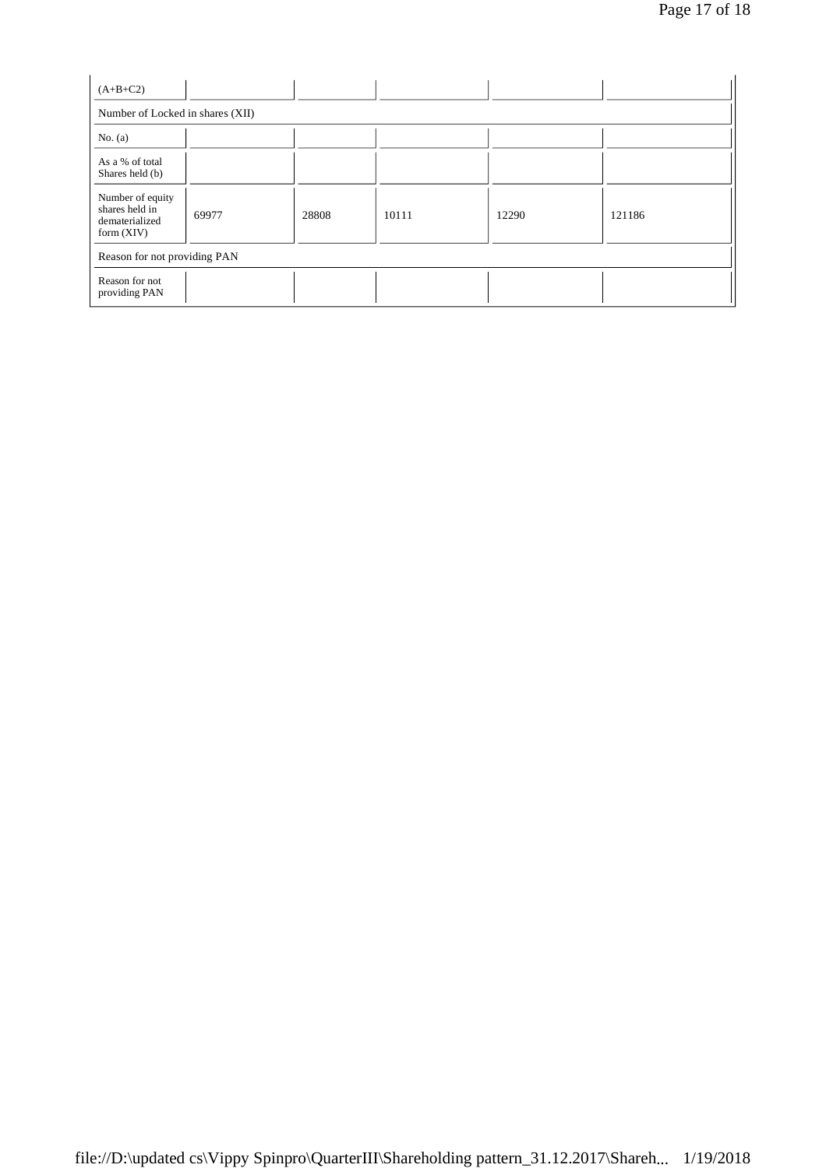| $(A+B+C2)$                                                           |                                  |       |       |       |        |  |
|----------------------------------------------------------------------|----------------------------------|-------|-------|-------|--------|--|
|                                                                      | Number of Locked in shares (XII) |       |       |       |        |  |
| No. $(a)$                                                            |                                  |       |       |       |        |  |
| As a % of total<br>Shares held (b)                                   |                                  |       |       |       |        |  |
| Number of equity<br>shares held in<br>dematerialized<br>form $(XIV)$ | 69977                            | 28808 | 10111 | 12290 | 121186 |  |
| Reason for not providing PAN                                         |                                  |       |       |       |        |  |
| Reason for not<br>providing PAN                                      |                                  |       |       |       |        |  |